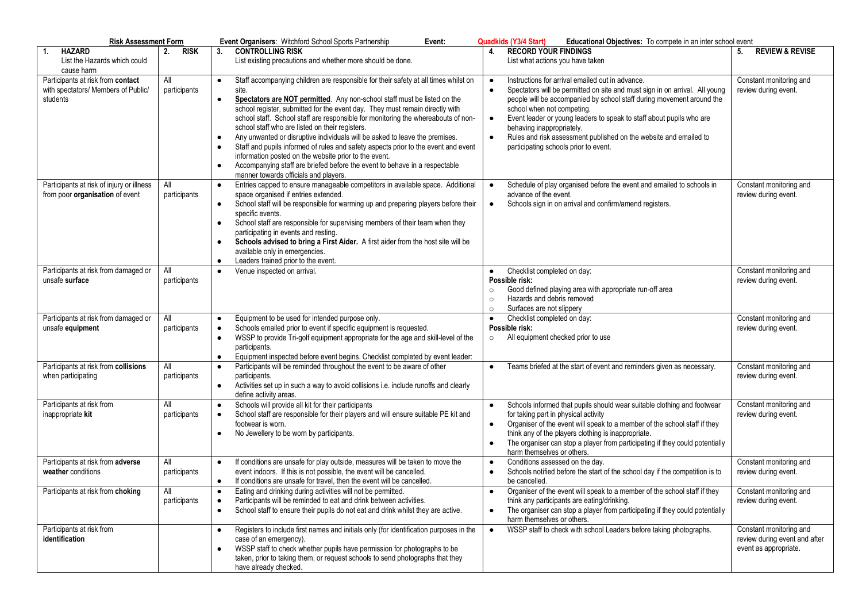| <b>Risk Assessment Form</b>                                                          |                     | Event Organisers: Witchford School Sports Partnership<br>Event:                                                                                                                                                                                                                                                                                                                                                                                                                                                                                                                                                                                                                                                                                                                                                        | <b>Quadkids (Y3/4 Start)</b><br>Educational Objectives: To compete in an inter school event                                                                                                                                                                                                                                                                                                                                                                                                                   |                                                                                   |
|--------------------------------------------------------------------------------------|---------------------|------------------------------------------------------------------------------------------------------------------------------------------------------------------------------------------------------------------------------------------------------------------------------------------------------------------------------------------------------------------------------------------------------------------------------------------------------------------------------------------------------------------------------------------------------------------------------------------------------------------------------------------------------------------------------------------------------------------------------------------------------------------------------------------------------------------------|---------------------------------------------------------------------------------------------------------------------------------------------------------------------------------------------------------------------------------------------------------------------------------------------------------------------------------------------------------------------------------------------------------------------------------------------------------------------------------------------------------------|-----------------------------------------------------------------------------------|
| <b>HAZARD</b><br>$\mathbf{1}$ .<br>List the Hazards which could<br>cause harm        | 2.<br><b>RISK</b>   | <b>CONTROLLING RISK</b><br>3.<br>List existing precautions and whether more should be done.                                                                                                                                                                                                                                                                                                                                                                                                                                                                                                                                                                                                                                                                                                                            | <b>RECORD YOUR FINDINGS</b><br>4.<br>List what actions you have taken                                                                                                                                                                                                                                                                                                                                                                                                                                         | <b>REVIEW &amp; REVISE</b><br>5.                                                  |
| Participants at risk from contact<br>with spectators/ Members of Public/<br>students | All<br>participants | Staff accompanying children are responsible for their safety at all times whilst on<br>$\bullet$<br>site.<br>Spectators are NOT permitted. Any non-school staff must be listed on the<br>$\bullet$<br>school register, submitted for the event day. They must remain directly with<br>school staff. School staff are responsible for monitoring the whereabouts of non-<br>school staff who are listed on their registers.<br>Any unwanted or disruptive individuals will be asked to leave the premises.<br>$\bullet$<br>Staff and pupils informed of rules and safety aspects prior to the event and event<br>$\bullet$<br>information posted on the website prior to the event.<br>Accompanying staff are briefed before the event to behave in a respectable<br>$\bullet$<br>manner towards officials and players. | Instructions for arrival emailed out in advance.<br>$\bullet$<br>Spectators will be permitted on site and must sign in on arrival. All young<br>$\bullet$<br>people will be accompanied by school staff during movement around the<br>school when not competing.<br>Event leader or young leaders to speak to staff about pupils who are<br>$\bullet$<br>behaving inappropriately.<br>$\bullet$<br>Rules and risk assessment published on the website and emailed to<br>participating schools prior to event. | Constant monitoring and<br>review during event.                                   |
| Participants at risk of injury or illness<br>from poor organisation of event         | All<br>participants | Entries capped to ensure manageable competitors in available space. Additional<br>$\bullet$<br>space organised if entries extended.<br>School staff will be responsible for warming up and preparing players before their<br>$\bullet$<br>specific events.<br>School staff are responsible for supervising members of their team when they<br>$\bullet$<br>participating in events and resting.<br>Schools advised to bring a First Aider. A first aider from the host site will be<br>$\bullet$<br>available only in emergencies.<br>Leaders trained prior to the event.<br>$\bullet$                                                                                                                                                                                                                                 | Schedule of play organised before the event and emailed to schools in<br>$\bullet$<br>advance of the event.<br>Schools sign in on arrival and confirm/amend registers.<br>$\bullet$                                                                                                                                                                                                                                                                                                                           | Constant monitoring and<br>review during event.                                   |
| Participants at risk from damaged or<br>unsafe surface                               | All<br>participants | Venue inspected on arrival.<br>$\bullet$                                                                                                                                                                                                                                                                                                                                                                                                                                                                                                                                                                                                                                                                                                                                                                               | Checklist completed on day:<br>$\bullet$<br>Possible risk:<br>Good defined playing area with appropriate run-off area<br>$\circ$<br>Hazards and debris removed<br>$\circ$<br>Surfaces are not slippery<br>$\circ$                                                                                                                                                                                                                                                                                             | Constant monitoring and<br>review during event.                                   |
| Participants at risk from damaged or<br>unsafe equipment                             | All<br>participants | Equipment to be used for intended purpose only.<br>$\bullet$<br>Schools emailed prior to event if specific equipment is requested.<br>$\bullet$<br>WSSP to provide Tri-golf equipment appropriate for the age and skill-level of the<br>$\bullet$<br>participants.<br>Equipment inspected before event begins. Checklist completed by event leader:<br>$\bullet$                                                                                                                                                                                                                                                                                                                                                                                                                                                       | Checklist completed on day:<br>$\bullet$<br>Possible risk:<br>All equipment checked prior to use<br>$\circ$                                                                                                                                                                                                                                                                                                                                                                                                   | Constant monitoring and<br>review during event.                                   |
| Participants at risk from collisions<br>when participating                           | All<br>participants | Participants will be reminded throughout the event to be aware of other<br>$\bullet$<br>participants.<br>Activities set up in such a way to avoid collisions i.e. include runoffs and clearly<br>$\bullet$<br>define activity areas.                                                                                                                                                                                                                                                                                                                                                                                                                                                                                                                                                                                   | Teams briefed at the start of event and reminders given as necessary.<br>$\bullet$                                                                                                                                                                                                                                                                                                                                                                                                                            | Constant monitoring and<br>review during event.                                   |
| Participants at risk from<br>inappropriate kit                                       | All<br>participants | Schools will provide all kit for their participants<br>$\bullet$<br>School staff are responsible for their players and will ensure suitable PE kit and<br>$\bullet$<br>footwear is worn.<br>No Jewellery to be worn by participants.<br>$\bullet$                                                                                                                                                                                                                                                                                                                                                                                                                                                                                                                                                                      | Schools informed that pupils should wear suitable clothing and footwear<br>$\bullet$<br>for taking part in physical activity<br>Organiser of the event will speak to a member of the school staff if they<br>$\bullet$<br>think any of the players clothing is inappropriate.<br>The organiser can stop a player from participating if they could potentially<br>$\bullet$<br>harm themselves or others.                                                                                                      | Constant monitoring and<br>review during event.                                   |
| Participants at risk from adverse<br>weather conditions                              | All<br>participants | If conditions are unsafe for play outside, measures will be taken to move the<br>$\bullet$<br>event indoors. If this is not possible, the event will be cancelled.<br>If conditions are unsafe for travel, then the event will be cancelled.<br>$\bullet$                                                                                                                                                                                                                                                                                                                                                                                                                                                                                                                                                              | Conditions assessed on the day.<br>$\bullet$<br>Schools notified before the start of the school day if the competition is to<br>$\bullet$<br>be cancelled.                                                                                                                                                                                                                                                                                                                                                    | Constant monitoring and<br>review during event.                                   |
| Participants at risk from choking                                                    | All<br>participants | Eating and drinking during activities will not be permitted.<br>$\bullet$<br>Participants will be reminded to eat and drink between activities.<br>$\bullet$<br>School staff to ensure their pupils do not eat and drink whilst they are active.<br>$\bullet$                                                                                                                                                                                                                                                                                                                                                                                                                                                                                                                                                          | Organiser of the event will speak to a member of the school staff if they<br>$\bullet$<br>think any participants are eating/drinking.<br>The organiser can stop a player from participating if they could potentially<br>$\bullet$<br>harm themselves or others.                                                                                                                                                                                                                                              | Constant monitoring and<br>review during event.                                   |
| Participants at risk from<br>identification                                          |                     | Registers to include first names and initials only (for identification purposes in the<br>$\bullet$<br>case of an emergency).<br>WSSP staff to check whether pupils have permission for photographs to be<br>taken, prior to taking them, or request schools to send photographs that they<br>have already checked.                                                                                                                                                                                                                                                                                                                                                                                                                                                                                                    | WSSP staff to check with school Leaders before taking photographs.<br>$\bullet$                                                                                                                                                                                                                                                                                                                                                                                                                               | Constant monitoring and<br>review during event and after<br>event as appropriate. |